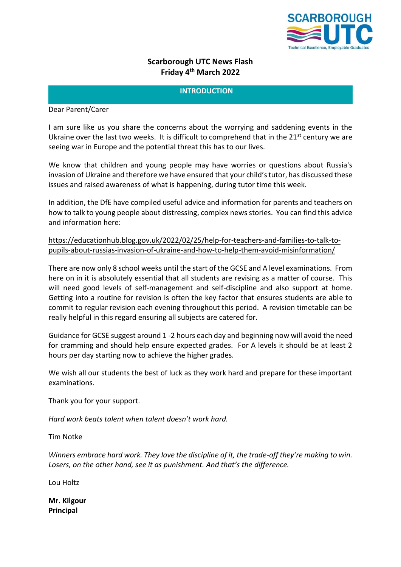

# **Scarborough UTC News Flash Friday 4 th March 2022**

# **INTRODUCTION**

Dear Parent/Carer

I am sure like us you share the concerns about the worrying and saddening events in the Ukraine over the last two weeks. It is difficult to comprehend that in the  $21^{st}$  century we are seeing war in Europe and the potential threat this has to our lives.

We know that children and young people may have worries or questions about Russia's invasion of Ukraine and therefore we have ensured that your child's tutor, has discussed these issues and raised awareness of what is happening, during tutor time this week.

In addition, the DfE have compiled useful advice and information for parents and teachers on how to talk to young people about distressing, complex news stories. You can find this advice and information here:

# [https://educationhub.blog.gov.uk/2022/02/25/help-for-teachers-and-families-to-talk-to](https://educationhub.blog.gov.uk/2022/02/25/help-for-teachers-and-families-to-talk-to-pupils-about-russias-invasion-of-ukraine-and-how-to-help-them-avoid-misinformation/)[pupils-about-russias-invasion-of-ukraine-and-how-to-help-them-avoid-misinformation/](https://educationhub.blog.gov.uk/2022/02/25/help-for-teachers-and-families-to-talk-to-pupils-about-russias-invasion-of-ukraine-and-how-to-help-them-avoid-misinformation/)

There are now only 8 school weeks until the start of the GCSE and A level examinations. From here on in it is absolutely essential that all students are revising as a matter of course. This will need good levels of self-management and self-discipline and also support at home. Getting into a routine for revision is often the key factor that ensures students are able to commit to regular revision each evening throughout this period. A revision timetable can be really helpful in this regard ensuring all subjects are catered for.

Guidance for GCSE suggest around 1 -2 hours each day and beginning now will avoid the need for cramming and should help ensure expected grades. For A levels it should be at least 2 hours per day starting now to achieve the higher grades.

We wish all our students the best of luck as they work hard and prepare for these important examinations.

Thank you for your support.

*Hard work beats talent when talent doesn't work hard.*

Tim Notke

*Winners embrace hard work. They love the discipline of it, the trade-off they're making to win.*  Losers, on the other hand, see it as punishment. And that's the difference.

Lou Holtz

**Mr. Kilgour Principal**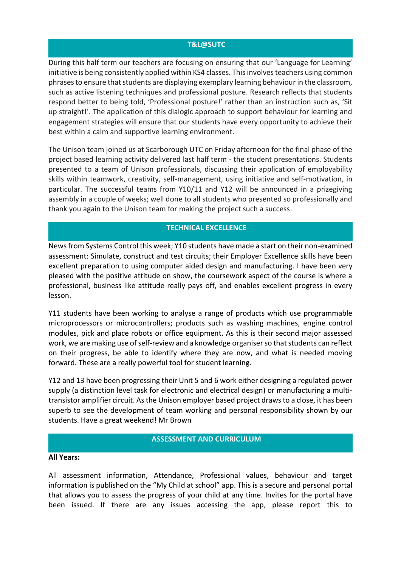### **T&L@SUTC**

During this half term our teachers are focusing on ensuring that our 'Language for Learning' initiative is being consistently applied within KS4 classes. This involves teachers using common phrases to ensure that students are displaying exemplary learning behaviour in the classroom, such as active listening techniques and professional posture. Research reflects that students respond better to being told, 'Professional posture!' rather than an instruction such as, 'Sit up straight!'. The application of this dialogic approach to support behaviour for learning and engagement strategies will ensure that our students have every opportunity to achieve their best within a calm and supportive learning environment.

The Unison team joined us at Scarborough UTC on Friday afternoon for the final phase of the project based learning activity delivered last half term - the student presentations. Students presented to a team of Unison professionals, discussing their application of employability skills within teamwork, creativity, self-management, using initiative and self-motivation, in particular. The successful teams from Y10/11 and Y12 will be announced in a prizegiving assembly in a couple of weeks; well done to all students who presented so professionally and thank you again to the Unison team for making the project such a success.

### **TECHNICAL EXCELLENCE**

News from Systems Control this week; Y10 students have made a start on their non-examined assessment: Simulate, construct and test circuits; their Employer Excellence skills have been excellent preparation to using computer aided design and manufacturing. I have been very pleased with the positive attitude on show, the coursework aspect of the course is where a professional, business like attitude really pays off, and enables excellent progress in every lesson.

Y11 students have been working to analyse a range of products which use programmable microprocessors or microcontrollers; products such as washing machines, engine control modules, pick and place robots or office equipment. As this is their second major assessed work, we are making use of self-review and a knowledge organiser so that students can reflect on their progress, be able to identify where they are now, and what is needed moving forward. These are a really powerful tool for student learning.

Y12 and 13 have been progressing their Unit 5 and 6 work either designing a regulated power supply (a distinction level task for electronic and electrical design) or manufacturing a multitransistor amplifier circuit. As the Unison employer based project draws to a close, it has been superb to see the development of team working and personal responsibility shown by our students. Have a great weekend! Mr Brown

### **ASSESSMENT AND CURRICULUM**

#### **All Years:**

All assessment information, Attendance, Professional values, behaviour and target information is published on the "My Child at school" app. This is a secure and personal portal that allows you to assess the progress of your child at any time. Invites for the portal have been issued. If there are any issues accessing the app, please report this to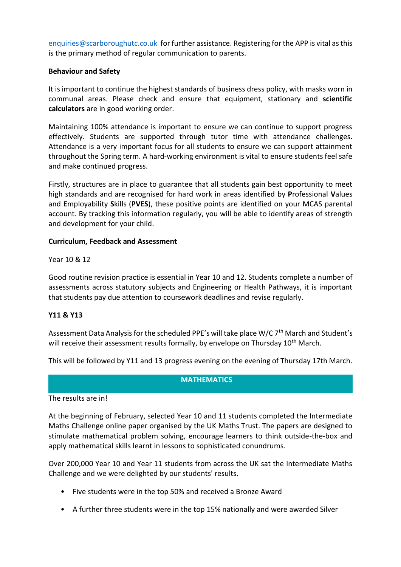[enquiries@scarboroughutc.co.uk](mailto:enquiries@scarboroughutc.co.uk) for further assistance. Registering for the APP is vital as this is the primary method of regular communication to parents.

### **Behaviour and Safety**

It is important to continue the highest standards of business dress policy, with masks worn in communal areas. Please check and ensure that equipment, stationary and **scientific calculators** are in good working order.

Maintaining 100% attendance is important to ensure we can continue to support progress effectively. Students are supported through tutor time with attendance challenges. Attendance is a very important focus for all students to ensure we can support attainment throughout the Spring term. A hard-working environment is vital to ensure students feel safe and make continued progress.

Firstly, structures are in place to guarantee that all students gain best opportunity to meet high standards and are recognised for hard work in areas identified by **P**rofessional **V**alues and **E**mployability **S**kills (**PVES**), these positive points are identified on your MCAS parental account. By tracking this information regularly, you will be able to identify areas of strength and development for your child.

### **Curriculum, Feedback and Assessment**

Year 10 & 12

Good routine revision practice is essential in Year 10 and 12. Students complete a number of assessments across statutory subjects and Engineering or Health Pathways, it is important that students pay due attention to coursework deadlines and revise regularly.

### **Y11 & Y13**

Assessment Data Analysis for the scheduled PPE's will take place W/C 7<sup>th</sup> March and Student's will receive their assessment results formally, by envelope on Thursday 10<sup>th</sup> March.

This will be followed by Y11 and 13 progress evening on the evening of Thursday 17th March.

### **MATHEMATICS**

The results are in!

At the beginning of February, selected Year 10 and 11 students completed the Intermediate Maths Challenge online paper organised by the UK Maths Trust. The papers are designed to stimulate mathematical problem solving, encourage learners to think outside-the-box and apply mathematical skills learnt in lessons to sophisticated conundrums.

Over 200,000 Year 10 and Year 11 students from across the UK sat the Intermediate Maths Challenge and we were delighted by our students' results.

- Five students were in the top 50% and received a Bronze Award
- A further three students were in the top 15% nationally and were awarded Silver